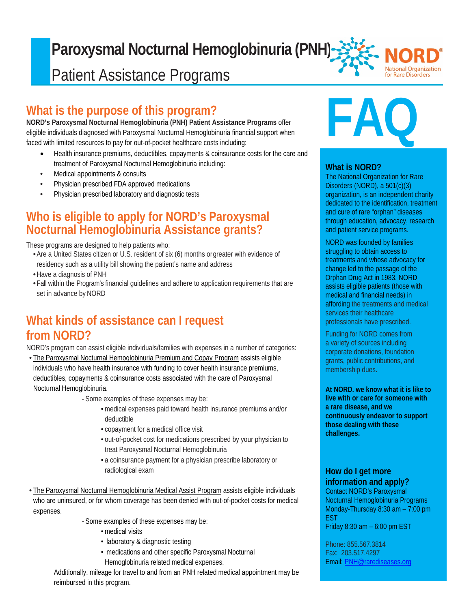#### F **Paroxysmal Nocturnal Hemoglobinuria (PNH) National Organization** Patient Assistance Programsfor Rare Disorders

## **What is the purpose of this program?**

**NORD's Paroxysmal Nocturnal Hemoglobinuria (PNH) Patient Assistance Programs** offer eligible individuals diagnosed with Paroxysmal Nocturnal Hemoglobinuria financial support when faced with limited resources to pay for out-of-pocket healthcare costs including:

- Health insurance premiums, deductibles, copayments & coinsurance costs for the care and treatment of Paroxysmal Nocturnal Hemoglobinuria including:
- Medical appointments & consults
- Physician prescribed FDA approved medications
- Physician prescribed laboratory and diagnostic tests

## **Who is eligible to apply for NORD's Paroxysmal Nocturnal Hemoglobinuria Assistance grants?**

These programs are designed to help patients who:

- •Are a United States citizen or U.S. resident of six (6) months orgreater with evidence of residency such as a utility bill showing the patient's name and address
- •Have a diagnosis of PNH
- •Fall within the Program's financial guidelines and adhere to application requirements that are set in advance by NORD

## **What kinds of assistance can I request from NORD?**

NORD's program can assist eligible individuals/families with expenses in a number of categories:

• The Paroxysmal Nocturnal Hemoglobinuria Premium and Copay Program assists eligible individuals who have health insurance with funding to cover health insurance premiums, deductibles, copayments & coinsurance costs associated with the care of Paroxysmal Nocturnal Hemoglobinuria.

*-* Some examples of these expenses may be:

- medical expenses paid toward health insurance premiums and/or deductible
- copayment for a medical office visit
- out-of-pocket cost for medications prescribed by your physician to treat Paroxysmal Nocturnal Hemoglobinuria
- a coinsurance payment for a physician prescribe laboratory or radiological exam
- The Paroxysmal Nocturnal Hemoglobinuria Medical Assist Program assists eligible individuals who are uninsured, or for whom coverage has been denied with out-of-pocket costs for medical expenses.
	- *-* Some examples of these expenses may be:
		- medical visits
		- laboratory & diagnostic testing
		- medications and other specific Paroxysmal Nocturnal Hemoglobinuria related medical expenses.

Additionally, mileage for travel to and from an PNH related medical appointment may be reimbursed in this program.

# **FAQ**

#### **What is NORD?**

The National Organization for Rare Disorders (NORD), a 501(c)(3) organization, is an independent charity dedicated to the identification, treatment and cure of rare "orphan" diseases through education, advocacy, research and patient service programs.

NORD was founded by families struggling to obtain access to treatments and whose advocacy for change led to the passage of the Orphan Drug Act in 1983. NORD assists eligible patients (those with medical and financial needs) in affording the treatments and medical services their healthcare professionals have prescribed.

Funding for NORD comes from a variety of sources including corporate donations, foundation grants, public contributions, and membership dues.

**At NORD. we know what it is like to live with or care for someone with a rare disease, and we continuously endeavor to support those dealing with these challenges.**

### **How do I get more information and apply?**

Contact NORD's Paroxysmal Nocturnal Hemoglobinuria Programs Monday-Thursday 8:30 am – 7:00 pm EST

Friday 8:30 am – 6:00 pm EST

Phone: 855.567.3814 Fax: 203.517.4297 Email: [PNH@rarediseases.org](mailto:PNH@rarediseases.org)